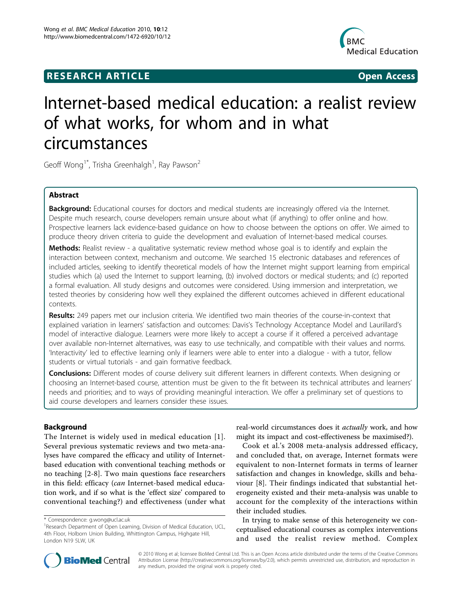# **RESEARCH ARTICLE Example 2018 CONSIDERING ACCESS**



# Internet-based medical education: a realist review of what works, for whom and in what circumstances

Geoff Wong<sup>1\*</sup>, Trisha Greenhalgh<sup>1</sup>, Ray Pawson<sup>2</sup>

# Abstract

**Background:** Educational courses for doctors and medical students are increasingly offered via the Internet. Despite much research, course developers remain unsure about what (if anything) to offer online and how. Prospective learners lack evidence-based guidance on how to choose between the options on offer. We aimed to produce theory driven criteria to guide the development and evaluation of Internet-based medical courses.

Methods: Realist review - a qualitative systematic review method whose goal is to identify and explain the interaction between context, mechanism and outcome. We searched 15 electronic databases and references of included articles, seeking to identify theoretical models of how the Internet might support learning from empirical studies which (a) used the Internet to support learning, (b) involved doctors or medical students; and (c) reported a formal evaluation. All study designs and outcomes were considered. Using immersion and interpretation, we tested theories by considering how well they explained the different outcomes achieved in different educational contexts.

Results: 249 papers met our inclusion criteria. We identified two main theories of the course-in-context that explained variation in learners' satisfaction and outcomes: Davis's Technology Acceptance Model and Laurillard's model of interactive dialogue. Learners were more likely to accept a course if it offered a perceived advantage over available non-Internet alternatives, was easy to use technically, and compatible with their values and norms. 'Interactivity' led to effective learning only if learners were able to enter into a dialogue - with a tutor, fellow students or virtual tutorials - and gain formative feedback.

**Conclusions:** Different modes of course delivery suit different learners in different contexts. When designing or choosing an Internet-based course, attention must be given to the fit between its technical attributes and learners' needs and priorities; and to ways of providing meaningful interaction. We offer a preliminary set of questions to aid course developers and learners consider these issues.

# Background

The Internet is widely used in medical education [[1\]](#page-7-0). Several previous systematic reviews and two meta-analyses have compared the efficacy and utility of Internetbased education with conventional teaching methods or no teaching [\[2](#page-7-0)-[8\]](#page-8-0). Two main questions face researchers in this field: efficacy (can Internet-based medical education work, and if so what is the 'effect size' compared to conventional teaching?) and effectiveness (under what real-world circumstances does it *actually* work, and how might its impact and cost-effectiveness be maximised?).

Cook et al.'s 2008 meta-analysis addressed efficacy, and concluded that, on average, Internet formats were equivalent to non-Internet formats in terms of learner satisfaction and changes in knowledge, skills and behaviour [\[8](#page-8-0)]. Their findings indicated that substantial heterogeneity existed and their meta-analysis was unable to account for the complexity of the interactions within their included studies.

In trying to make sense of this heterogeneity we conceptualised educational courses as complex interventions and used the realist review method. Complex



© 2010 Wong et al; licensee BioMed Central Ltd. This is an Open Access article distributed under the terms of the Creative Commons Attribution License [\(http://creativecommons.org/licenses/by/2.0](http://creativecommons.org/licenses/by/2.0)), which permits unrestricted use, distribution, and reproduction in any medium, provided the original work is properly cited.

<sup>\*</sup> Correspondence: [g.wong@ucl.ac.uk](mailto:g.wong@ucl.ac.uk)

<sup>&</sup>lt;sup>1</sup> Research Department of Open Learning, Division of Medical Education, UCL, 4th Floor, Holborn Union Building, Whittington Campus, Highgate Hill, London N19 5LW, UK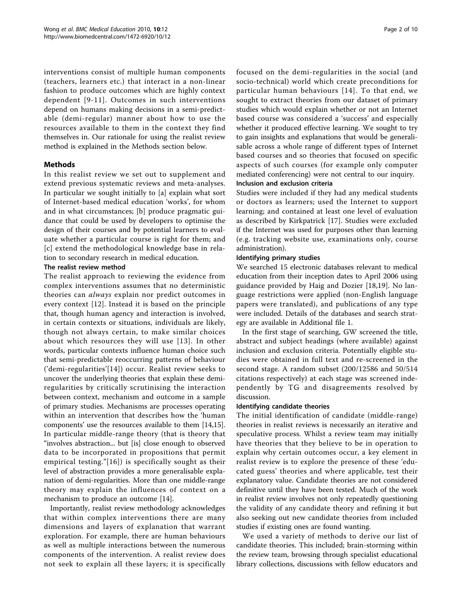interventions consist of multiple human components (teachers, learners etc.) that interact in a non-linear fashion to produce outcomes which are highly context dependent [[9](#page-8-0)-[11](#page-8-0)]. Outcomes in such interventions depend on humans making decisions in a semi-predictable (demi-regular) manner about how to use the resources available to them in the context they find themselves in. Our rationale for using the realist review method is explained in the Methods section below.

# Methods

In this realist review we set out to supplement and extend previous systematic reviews and meta-analyses. In particular we sought initially to [a] explain what sort of Internet-based medical education 'works', for whom and in what circumstances; [b] produce pragmatic guidance that could be used by developers to optimise the design of their courses and by potential learners to evaluate whether a particular course is right for them; and [c] extend the methodological knowledge base in relation to secondary research in medical education.

### The realist review method

The realist approach to reviewing the evidence from complex interventions assumes that no deterministic theories can always explain nor predict outcomes in every context [[12](#page-8-0)]. Instead it is based on the principle that, though human agency and interaction is involved, in certain contexts or situations, individuals are likely, though not always certain, to make similar choices about which resources they will use [[13](#page-8-0)]. In other words, particular contexts influence human choice such that semi-predictable reoccurring patterns of behaviour ('demi-regularities'[\[14\]](#page-8-0)) occur. Realist review seeks to uncover the underlying theories that explain these demiregularities by critically scrutinising the interaction between context, mechanism and outcome in a sample of primary studies. Mechanisms are processes operating within an intervention that describes how the 'human components' use the resources available to them [[14,15](#page-8-0)]. In particular middle-range theory (that is theory that "involves abstraction... but [is] close enough to observed data to be incorporated in propositions that permit empirical testing."[[16](#page-8-0)]) is specifically sought as their level of abstraction provides a more generalisable explanation of demi-regularities. More than one middle-range theory may explain the influences of context on a mechanism to produce an outcome [\[14\]](#page-8-0).

Importantly, realist review methodology acknowledges that within complex interventions there are many dimensions and layers of explanation that warrant exploration. For example, there are human behaviours as well as multiple interactions between the numerous components of the intervention. A realist review does not seek to explain all these layers; it is specifically focused on the demi-regularities in the social (and socio-technical) world which create preconditions for particular human behaviours [[14\]](#page-8-0). To that end, we sought to extract theories from our dataset of primary studies which would explain whether or not an Internet based course was considered a 'success' and especially whether it produced effective learning. We sought to try to gain insights and explanations that would be generalisable across a whole range of different types of Internet based courses and so theories that focused on specific aspects of such courses (for example only computer mediated conferencing) were not central to our inquiry.

# Inclusion and exclusion criteria

Studies were included if they had any medical students or doctors as learners; used the Internet to support learning; and contained at least one level of evaluation as described by Kirkpatrick [\[17](#page-8-0)]. Studies were excluded if the Internet was used for purposes other than learning (e.g. tracking website use, examinations only, course administration).

# Identifying primary studies

We searched 15 electronic databases relevant to medical education from their inception dates to April 2006 using guidance provided by Haig and Dozier [[18,19](#page-8-0)]. No language restrictions were applied (non-English language papers were translated), and publications of any type were included. Details of the databases and search strategy are available in Additional file [1.](#page-7-0)

In the first stage of searching, GW screened the title, abstract and subject headings (where available) against inclusion and exclusion criteria. Potentially eligible studies were obtained in full text and re-screened in the second stage. A random subset (200/12586 and 50/514 citations respectively) at each stage was screened independently by TG and disagreements resolved by discussion.

### Identifying candidate theories

The initial identification of candidate (middle-range) theories in realist reviews is necessarily an iterative and speculative process. Whilst a review team may initially have theories that they believe to be in operation to explain why certain outcomes occur, a key element in realist review is to explore the presence of these 'educated guess' theories and where applicable, test their explanatory value. Candidate theories are not considered definitive until they have been tested. Much of the work in realist review involves not only repeatedly questioning the validity of any candidate theory and refining it but also seeking out new candidate theories from included studies if existing ones are found wanting.

We used a variety of methods to derive our list of candidate theories. This included; brain-storming within the review team, browsing through specialist educational library collections, discussions with fellow educators and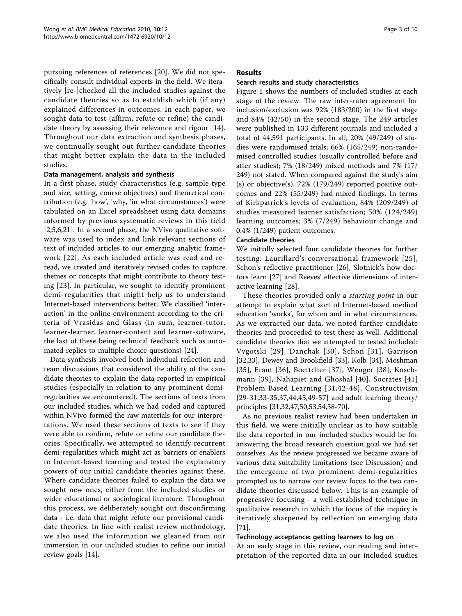pursuing references of references [[20\]](#page-8-0). We did not specifically consult individual experts in the field. We iteratively [re-]checked all the included studies against the candidate theories so as to establish which (if any) explained differences in outcomes. In each paper, we sought data to test (affirm, refute or refine) the candidate theory by assessing their relevance and rigour [\[14](#page-8-0)]. Throughout our data extraction and synthesis phases, we continually sought out further candidate theories that might better explain the data in the included studies.

# Data management, analysis and synthesis

In a first phase, study characteristics (e.g. sample type and size, setting, course objectives) and theoretical contribution (e.g. 'how', 'why, 'in what circumstances') were tabulated on an Excel spreadsheet using data domains informed by previous systematic reviews in this field [[2,5,6](#page-7-0)[,21](#page-8-0)]. In a second phase, the NVivo qualitative software was used to index and link relevant sections of text of included articles to our emerging analytic framework [[22](#page-8-0)]. As each included article was read and reread, we created and iteratively revised codes to capture themes or concepts that might contribute to theory testing [\[23](#page-8-0)]. In particular, we sought to identify prominent demi-regularities that might help us to understand Internet-based interventions better. We classified 'interaction' in the online environment according to the criteria of Vrasidas and Glass (in sum, learner-tutor, learner-learner, learner-content and learner-software, the last of these being technical feedback such as automated replies to multiple choice questions) [[24\]](#page-8-0).

Data synthesis involved both individual reflection and team discussions that considered the ability of the candidate theories to explain the data reported in empirical studies (especially in relation to any prominent demiregularities we encountered). The sections of texts from our included studies, which we had coded and captured within NVivo formed the raw materials for our interpretations. We used these sections of texts to see if they were able to confirm, refute or refine our candidate theories. Specifically, we attempted to identify recurrent demi-regularities which might act as barriers or enablers to Internet-based learning and tested the explanatory powers of our initial candidate theories against these. Where candidate theories failed to explain the data we sought new ones, either from the included studies or wider educational or sociological literature. Throughout this process, we deliberately sought out disconfirming data - i.e. data that might refute our provisional candidate theories. In line with realist review methodology, we also used the information we gleaned from our immersion in our included studies to refine our initial review goals [\[14\]](#page-8-0).

# Results

### Search results and study characteristics

Figure [1](#page-3-0) shows the numbers of included studies at each stage of the review. The raw inter-rater agreement for inclusion/exclusion was 92% (183/200) in the first stage and 84% (42/50) in the second stage. The 249 articles were published in 133 different journals and included a total of 44,591 participants. In all, 20% (49/249) of studies were randomised trials; 66% (165/249) non-randomised controlled studies (usually controlled before and after studies); 7% (18/249) mixed methods and 7% (17/ 249) not stated. When compared against the study's aim (s) or objective(s),  $72\%$  (179/249) reported positive outcomes and 22% (55/249) had mixed findings. In terms of Kirkpatrick's levels of evaluation, 84% (209/249) of studies measured learner satisfaction; 50% (124/249) learning outcomes; 3% (7/249) behaviour change and 0.4% (1/249) patient outcomes.

# Candidate theories

We initially selected four candidate theories for further testing: Laurillard's conversational framework [[25\]](#page-8-0), Schon's reflective practitioner [[26\]](#page-8-0), Slotnick's how doctors learn [[27\]](#page-8-0) and Reeves' effective dimensions of interactive learning [[28](#page-8-0)].

These theories provided only a *starting point* in our attempt to explain what sort of Internet-based medical education 'works', for whom and in what circumstances. As we extracted our data, we noted further candidate theories and proceeded to test these as well. Additional candidate theories that we attempted to tested included: Vygotski [[29\]](#page-8-0), Danchak [[30\]](#page-8-0), Schon [[31\]](#page-8-0), Garrison [[32,33\]](#page-8-0), Dewey and Brookfield [\[33\]](#page-8-0), Kolb [\[34\]](#page-8-0), Moshman [[35\]](#page-8-0), Eraut [[36\]](#page-8-0), Boettcher [[37\]](#page-8-0), Wenger [[38\]](#page-8-0), Koschmann [\[39\]](#page-8-0), Nahapiet and Ghoshal [[40](#page-8-0)], Socrates [[41](#page-8-0)] Problem Based Learning [[31,42](#page-8-0)-[48\]](#page-8-0), Constructivism [[29](#page-8-0)-[31,33](#page-8-0)-[35,37,44](#page-8-0),[45,49](#page-8-0)-[57\]](#page-9-0) and adult learning theory/ principles [[31](#page-8-0),[32,47,50,53,54](#page-8-0)[,58-70](#page-9-0)].

As no previous realist review had been undertaken in this field, we were initially unclear as to how suitable the data reported in our included studies would be for answering the broad research question goal we had set ourselves. As the review progressed we became aware of various data suitability limitations (see Discussion) and the emergence of two prominent demi-regularities prompted us to narrow our review focus to the two candidate theories discussed below. This is an example of progressive focusing - a well-established technique in qualitative research in which the focus of the inquiry is iteratively sharpened by reflection on emerging data [[71\]](#page-9-0).

### Technology acceptance: getting learners to log on

At an early stage in this review, our reading and interpretation of the reported data in our included studies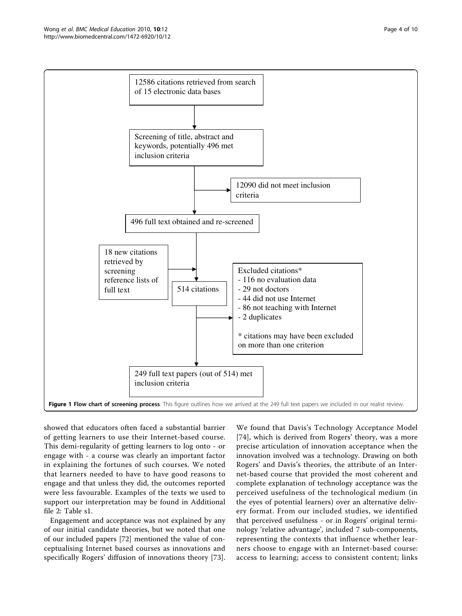<span id="page-3-0"></span>

showed that educators often faced a substantial barrier of getting learners to use their Internet-based course. This demi-regularity of getting learners to log onto - or engage with - a course was clearly an important factor in explaining the fortunes of such courses. We noted that learners needed to have to have good reasons to engage and that unless they did, the outcomes reported were less favourable. Examples of the texts we used to support our interpretation may be found in Additional file [2](#page-7-0): Table s1.

Engagement and acceptance was not explained by any of our initial candidate theories, but we noted that one of our included papers [[72\]](#page-9-0) mentioned the value of conceptualising Internet based courses as innovations and specifically Rogers' diffusion of innovations theory [\[73](#page-9-0)].

We found that Davis's Technology Acceptance Model [[74](#page-9-0)], which is derived from Rogers' theory, was a more precise articulation of innovation acceptance when the innovation involved was a technology. Drawing on both Rogers' and Davis's theories, the attribute of an Internet-based course that provided the most coherent and complete explanation of technology acceptance was the perceived usefulness of the technological medium (in the eyes of potential learners) over an alternative delivery format. From our included studies, we identified that perceived usefulness - or in Rogers' original terminology 'relative advantage', included 7 sub-components, representing the contexts that influence whether learners choose to engage with an Internet-based course: access to learning; access to consistent content; links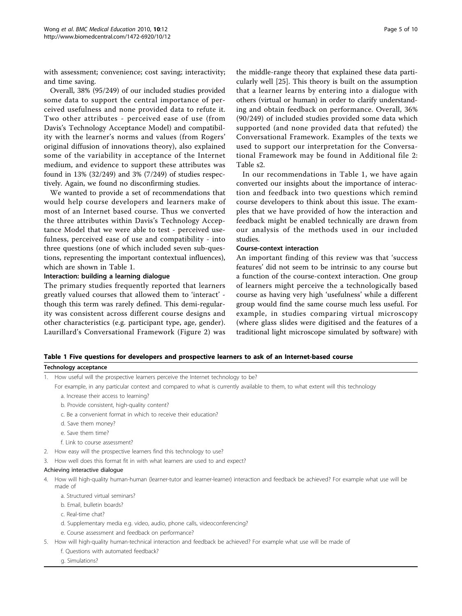<span id="page-4-0"></span>with assessment; convenience; cost saving; interactivity; and time saving.

Overall, 38% (95/249) of our included studies provided some data to support the central importance of perceived usefulness and none provided data to refute it. Two other attributes - perceived ease of use (from Davis's Technology Acceptance Model) and compatibility with the learner's norms and values (from Rogers' original diffusion of innovations theory), also explained some of the variability in acceptance of the Internet medium, and evidence to support these attributes was found in 13% (32/249) and 3% (7/249) of studies respectively. Again, we found no disconfirming studies.

We wanted to provide a set of recommendations that would help course developers and learners make of most of an Internet based course. Thus we converted the three attributes within Davis's Technology Acceptance Model that we were able to test - perceived usefulness, perceived ease of use and compatibility - into three questions (one of which included seven sub-questions, representing the important contextual influences), which are shown in Table 1.

### Interaction: building a learning dialogue

The primary studies frequently reported that learners greatly valued courses that allowed them to 'interact' though this term was rarely defined. This demi-regularity was consistent across different course designs and other characteristics (e.g. participant type, age, gender). Laurillard's Conversational Framework (Figure [2](#page-5-0)) was

the middle-range theory that explained these data particularly well [[25\]](#page-8-0). This theory is built on the assumption that a learner learns by entering into a dialogue with others (virtual or human) in order to clarify understanding and obtain feedback on performance. Overall, 36% (90/249) of included studies provided some data which supported (and none provided data that refuted) the Conversational Framework. Examples of the texts we used to support our interpretation for the Conversational Framework may be found in Additional file [2](#page-7-0): Table s2.

In our recommendations in Table 1, we have again converted our insights about the importance of interaction and feedback into two questions which remind course developers to think about this issue. The examples that we have provided of how the interaction and feedback might be enabled technically are drawn from our analysis of the methods used in our included studies.

### Course-context interaction

An important finding of this review was that 'success features' did not seem to be intrinsic to any course but a function of the course-context interaction. One group of learners might perceive the a technologically based course as having very high 'usefulness' while a different group would find the same course much less useful. For example, in studies comparing virtual microscopy (where glass slides were digitised and the features of a traditional light microscope simulated by software) with

|                       | Table 1 Five questions for developers and prospective learners to ask of an Internet-based course |  |  |  |
|-----------------------|---------------------------------------------------------------------------------------------------|--|--|--|
| Technology acceptance |                                                                                                   |  |  |  |

- How useful will the prospective learners perceive the Internet technology to be?
	- For example, in any particular context and compared to what is currently available to them, to what extent will this technology
		- a. Increase their access to learning?
		- b. Provide consistent, high-quality content?
		- c. Be a convenient format in which to receive their education?
		- d. Save them money?
		- e. Save them time?
		- f. Link to course assessment?
- 2. How easy will the prospective learners find this technology to use?
- 3. How well does this format fit in with what learners are used to and expect?

### Achieving interactive dialogue

- 4. How will high-quality human-human (learner-tutor and learner-learner) interaction and feedback be achieved? For example what use will be made of
	- a. Structured virtual seminars?
	- b. Email, bulletin boards?
	- c. Real-time chat?
	- d. Supplementary media e.g. video, audio, phone calls, videoconferencing?
	- e. Course assessment and feedback on performance?
- 5. How will high-quality human-technical interaction and feedback be achieved? For example what use will be made of
	- f. Questions with automated feedback?
		- g. Simulations?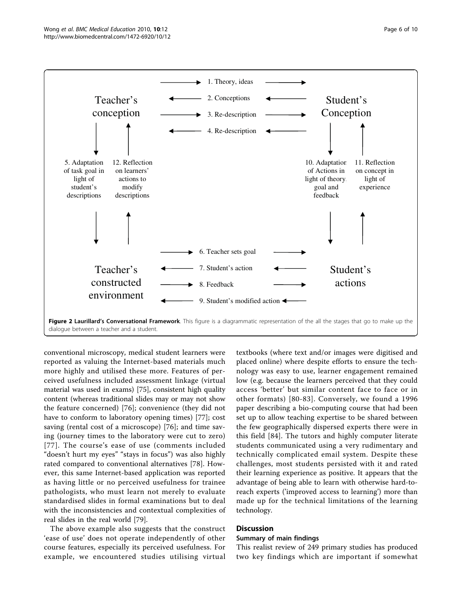<span id="page-5-0"></span>

conventional microscopy, medical student learners were reported as valuing the Internet-based materials much more highly and utilised these more. Features of perceived usefulness included assessment linkage (virtual material was used in exams) [\[75](#page-9-0)], consistent high quality content (whereas traditional slides may or may not show the feature concerned) [\[76](#page-9-0)]; convenience (they did not have to conform to laboratory opening times) [\[77](#page-9-0)]; cost saving (rental cost of a microscope) [\[76](#page-9-0)]; and time saving (journey times to the laboratory were cut to zero) [[77](#page-9-0)]. The course's ease of use (comments included "doesn't hurt my eyes" "stays in focus") was also highly rated compared to conventional alternatives [\[78](#page-9-0)]. However, this same Internet-based application was reported as having little or no perceived usefulness for trainee pathologists, who must learn not merely to evaluate standardised slides in formal examinations but to deal with the inconsistencies and contextual complexities of real slides in the real world [\[79](#page-9-0)].

The above example also suggests that the construct 'ease of use' does not operate independently of other course features, especially its perceived usefulness. For example, we encountered studies utilising virtual

textbooks (where text and/or images were digitised and placed online) where despite efforts to ensure the technology was easy to use, learner engagement remained low (e.g. because the learners perceived that they could access 'better' but similar content face to face or in other formats) [[80-83\]](#page-9-0). Conversely, we found a 1996 paper describing a bio-computing course that had been set up to allow teaching expertise to be shared between the few geographically dispersed experts there were in this field [[84\]](#page-9-0). The tutors and highly computer literate students communicated using a very rudimentary and technically complicated email system. Despite these challenges, most students persisted with it and rated their learning experience as positive. It appears that the advantage of being able to learn with otherwise hard-toreach experts ('improved access to learning') more than made up for the technical limitations of the learning technology.

# **Discussion**

### Summary of main findings

This realist review of 249 primary studies has produced two key findings which are important if somewhat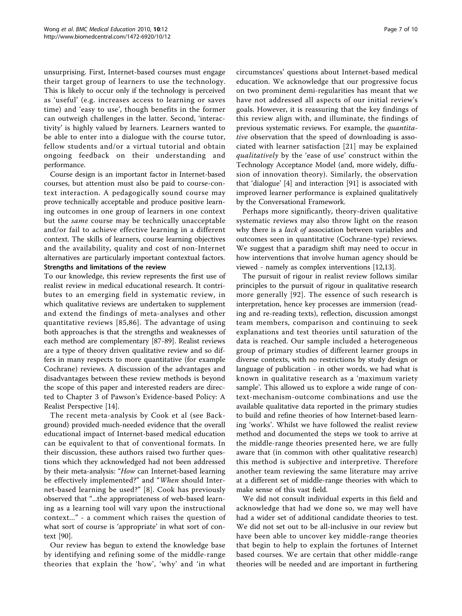unsurprising. First, Internet-based courses must engage their target group of learners to use the technology. This is likely to occur only if the technology is perceived as 'useful' (e.g. increases access to learning or saves time) and 'easy to use', though benefits in the former can outweigh challenges in the latter. Second, 'interactivity' is highly valued by learners. Learners wanted to be able to enter into a dialogue with the course tutor, fellow students and/or a virtual tutorial and obtain ongoing feedback on their understanding and performance.

Course design is an important factor in Internet-based courses, but attention must also be paid to course-context interaction. A pedagogically sound course may prove technically acceptable and produce positive learning outcomes in one group of learners in one context but the same course may be technically unacceptable and/or fail to achieve effective learning in a different context. The skills of learners, course learning objectives and the availability, quality and cost of non-Internet alternatives are particularly important contextual factors. Strengths and limitations of the review

To our knowledge, this review represents the first use of realist review in medical educational research. It contributes to an emerging field in systematic review, in which qualitative reviews are undertaken to supplement and extend the findings of meta-analyses and other quantitative reviews [[85,86\]](#page-9-0). The advantage of using both approaches is that the strengths and weaknesses of each method are complementary [[87](#page-9-0)-[89\]](#page-9-0). Realist reviews are a type of theory driven qualitative review and so differs in many respects to more quantitative (for example Cochrane) reviews. A discussion of the advantages and disadvantages between these review methods is beyond the scope of this paper and interested readers are directed to Chapter 3 of Pawson's Evidence-based Policy: A Realist Perspective [[14\]](#page-8-0).

The recent meta-analysis by Cook et al (see Background) provided much-needed evidence that the overall educational impact of Internet-based medical education can be equivalent to that of conventional formats. In their discussion, these authors raised two further questions which they acknowledged had not been addressed by their meta-analysis: "How can Internet-based learning be effectively implemented?" and "When should Internet-based learning be used?" [\[8\]](#page-8-0). Cook has previously observed that "...the appropriateness of web-based learning as a learning tool will vary upon the instructional context..." - a comment which raises the question of what sort of course is 'appropriate' in what sort of context [[90](#page-9-0)].

Our review has begun to extend the knowledge base by identifying and refining some of the middle-range theories that explain the 'how', 'why' and 'in what circumstances' questions about Internet-based medical education. We acknowledge that our progressive focus on two prominent demi-regularities has meant that we have not addressed all aspects of our initial review's goals. However, it is reassuring that the key findings of this review align with, and illuminate, the findings of previous systematic reviews. For example, the *quantita*tive observation that the speed of downloading is associated with learner satisfaction [[21\]](#page-8-0) may be explained qualitatively by the 'ease of use' construct within the Technology Acceptance Model (and, more widely, diffusion of innovation theory). Similarly, the observation that 'dialogue' [[4\]](#page-7-0) and interaction [[91\]](#page-9-0) is associated with improved learner performance is explained qualitatively by the Conversational Framework.

Perhaps more significantly, theory-driven qualitative systematic reviews may also throw light on the reason why there is a *lack of* association between variables and outcomes seen in quantitative (Cochrane-type) reviews. We suggest that a paradigm shift may need to occur in how interventions that involve human agency should be viewed - namely as complex interventions [[12,13](#page-8-0)].

The pursuit of rigour in realist review follows similar principles to the pursuit of rigour in qualitative research more generally [[92](#page-9-0)]. The essence of such research is interpretation, hence key processes are immersion (reading and re-reading texts), reflection, discussion amongst team members, comparison and continuing to seek explanations and test theories until saturation of the data is reached. Our sample included a heterogeneous group of primary studies of different learner groups in diverse contexts, with no restrictions by study design or language of publication - in other words, we had what is known in qualitative research as a 'maximum variety sample'. This allowed us to explore a wide range of context-mechanism-outcome combinations and use the available qualitative data reported in the primary studies to build and refine theories of how Internet-based learning 'works'. Whilst we have followed the realist review method and documented the steps we took to arrive at the middle-range theories presented here, we are fully aware that (in common with other qualitative research) this method is subjective and interpretive. Therefore another team reviewing the same literature may arrive at a different set of middle-range theories with which to make sense of this vast field.

We did not consult individual experts in this field and acknowledge that had we done so, we may well have had a wider set of additional candidate theories to test. We did not set out to be all-inclusive in our review but have been able to uncover key middle-range theories that begin to help to explain the fortunes of Internet based courses. We are certain that other middle-range theories will be needed and are important in furthering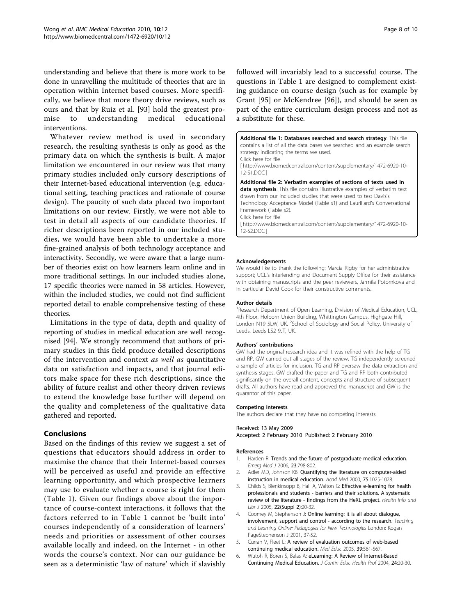<span id="page-7-0"></span>understanding and believe that there is more work to be done in unravelling the multitude of theories that are in operation within Internet based courses. More specifically, we believe that more theory drive reviews, such as ours and that by Ruiz et al. [[93\]](#page-9-0) hold the greatest promise to understanding medical educational interventions.

Whatever review method is used in secondary research, the resulting synthesis is only as good as the primary data on which the synthesis is built. A major limitation we encountered in our review was that many primary studies included only cursory descriptions of their Internet-based educational intervention (e.g. educational setting, teaching practices and rationale of course design). The paucity of such data placed two important limitations on our review. Firstly, we were not able to test in detail all aspects of our candidate theories. If richer descriptions been reported in our included studies, we would have been able to undertake a more fine-grained analysis of both technology acceptance and interactivity. Secondly, we were aware that a large number of theories exist on how learners learn online and in more traditional settings. In our included studies alone, 17 specific theories were named in 58 articles. However, within the included studies, we could not find sufficient reported detail to enable comprehensive testing of these theories.

Limitations in the type of data, depth and quality of reporting of studies in medical education are well recognised [[94\]](#page-9-0). We strongly recommend that authors of primary studies in this field produce detailed descriptions of the intervention and context as well as quantitative data on satisfaction and impacts, and that journal editors make space for these rich descriptions, since the ability of future realist and other theory driven reviews to extend the knowledge base further will depend on the quality and completeness of the qualitative data gathered and reported.

### Conclusions

Based on the findings of this review we suggest a set of questions that educators should address in order to maximise the chance that their Internet-based courses will be perceived as useful and provide an effective learning opportunity, and which prospective learners may use to evaluate whether a course is right for them (Table [1](#page-4-0)). Given our findings above about the importance of course-context interactions, it follows that the factors referred to in Table [1](#page-4-0) cannot be 'built into' courses independently of a consideration of learners' needs and priorities or assessment of other courses available locally and indeed, on the Internet - in other words the course's context. Nor can our guidance be seen as a deterministic 'law of nature' which if slavishly

followed will invariably lead to a successful course. The questions in Table [1](#page-4-0) are designed to complement existing guidance on course design (such as for example by Grant [\[95](#page-9-0)] or McKendree [[96\]](#page-9-0)), and should be seen as part of the entire curriculum design process and not as a substitute for these.

Additional file 1: Databases searched and search strategy. This file contains a list of all the data bases we searched and an example search strategy indicating the terms we used. Click here for file [ http://www.biomedcentral.com/content/supplementary/1472-6920-10- 12-S1.DOC ] Additional file 2: Verbatim examples of sections of texts used in **data synthesis.** This file contains illustrative examples of verbatim text drawn from our included studies that were used to test Davis's Technology Acceptance Model (Table s1) and Laurillard's Conversational Framework (Table s2). Click here for file [ http://www.biomedcentral.com/content/supplementary/1472-6920-10-

### Acknowledgements

12-S2.DOC ]

We would like to thank the following: Marcia Rigby for her administrative support; UCL's Interlending and Document Supply Office for their assistance with obtaining manuscripts and the peer reviewers, Jarmila Potomkova and in particular David Cook for their constructive comments.

### Author details

<sup>1</sup>Research Department of Open Learning, Division of Medical Education, UCL 4th Floor, Holborn Union Building, Whittington Campus, Highgate Hill, London N19 5LW, UK. <sup>2</sup>School of Sociology and Social Policy, University of Leeds, Leeds LS2 9JT, UK.

### Authors' contributions

GW had the original research idea and it was refined with the help of TG and RP. GW carried out all stages of the review. TG independently screened a sample of articles for inclusion. TG and RP oversaw the data extraction and synthesis stages. GW drafted the paper and TG and RP both contributed significantly on the overall content, concepts and structure of subsequent drafts. All authors have read and approved the manuscript and GW is the guarantor of this paper.

### Competing interests

The authors declare that they have no competing interests.

### Received: 13 May 2009

Accepted: 2 February 2010 Published: 2 February 2010

### References

- Harden R: [Trends and the future of postgraduate medical education.](http://www.ncbi.nlm.nih.gov/pubmed/16988312?dopt=Abstract) Emerg Med J 2006, 23:798-802.
- 2. Adler MD, Johnson KB: [Quantifying the literature on computer-aided](http://www.ncbi.nlm.nih.gov/pubmed/11031152?dopt=Abstract) [instruction in medical education.](http://www.ncbi.nlm.nih.gov/pubmed/11031152?dopt=Abstract) Acad Med 2000, 75:1025-1028.
- 3. Childs S, Blenkinsopp B, Hall A, Walton G: Effective e-learning for health professionals and students - barriers and their solutions. A systematic review of the literature - findings from the HeXL project. Health Info and Libr J 2005, 22(Suppl 2):20-32.
- 4. Coomey M, Stephenson J: Online learning: it is all about dialogue, involvement, support and control - according to the research. Teaching and Learning Online: Pedagogies for New Technologies London: Kogan PageStephenson J 2001, 37-52.
- 5. Curran V, Fleet L: [A review of evaluation outcomes of web-based](http://www.ncbi.nlm.nih.gov/pubmed/15910431?dopt=Abstract) [continuing medical education.](http://www.ncbi.nlm.nih.gov/pubmed/15910431?dopt=Abstract) Med Educ 2005, 39:561-567.
- 6. Wutoh R, Boren S, Balas A: [eLearning: A Review of Internet-Based](http://www.ncbi.nlm.nih.gov/pubmed/15069909?dopt=Abstract) [Continuing Medical Education.](http://www.ncbi.nlm.nih.gov/pubmed/15069909?dopt=Abstract) J Contin Educ Health Prof 2004, 24:20-30.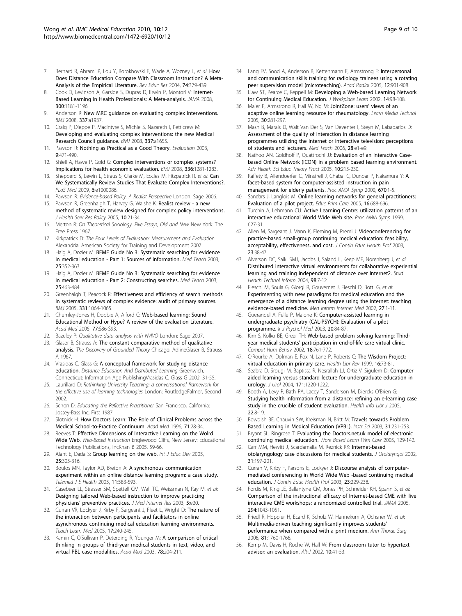- <span id="page-8-0"></span>7. Bernard R, Abrami P, Lou Y, Borokhovski E, Wade A, Wozney L, et al: How Does Distance Education Compare With Classroom Instruction? A Meta-Analysis of the Empirical Literature. Rev Educ Res 2004, 74:379-439.
- 8. Cook D, Levinson A, Garside S, Dupras D, Erwin P, Montori V: [Internet-](http://www.ncbi.nlm.nih.gov/pubmed/18780847?dopt=Abstract)[Based Learning in Health Professionals: A Meta-analysis.](http://www.ncbi.nlm.nih.gov/pubmed/18780847?dopt=Abstract) JAMA 2008, 300:1181-1196.
- 9. Anderson R: [New MRC guidance on evaluating complex interventions.](http://www.ncbi.nlm.nih.gov/pubmed/18945728?dopt=Abstract) BMJ 2008, 337:a1937.
- 10. Craig P, Dieppe P, Macintyre S, Michie S, Nazareth I, Petticrew M: [Developing and evaluating complex interventions: the new Medical](http://www.ncbi.nlm.nih.gov/pubmed/18824488?dopt=Abstract) [Research Council guidance.](http://www.ncbi.nlm.nih.gov/pubmed/18824488?dopt=Abstract) BMJ 2008, 337:a1655.
- 11. Pawson R: Nothing as Practical as a Good Theory. Evaluation 2003, 9:471-490.
- 12. Shiell A, Hawe P, Gold G: [Complex interventions or complex systems?](http://www.ncbi.nlm.nih.gov/pubmed/18535071?dopt=Abstract) [Implications for health economic evaluation.](http://www.ncbi.nlm.nih.gov/pubmed/18535071?dopt=Abstract) BMJ 2008, 336:1281-1283.
- 13. Shepperd S, Lewin L, Straus S, Clarke M, Eccles M, Fitzpatrick R, et al: [Can](http://www.ncbi.nlm.nih.gov/pubmed/19668360?dopt=Abstract) [We Systematically Review Studies That Evaluate Complex Interventions?.](http://www.ncbi.nlm.nih.gov/pubmed/19668360?dopt=Abstract) PLoS Med 2009, 6:e1000086.
- 14. Pawson R: Evidence-based Policy. A Realist Perspective London: Sage 2006.
- 15. Pawson R, Greenhalgh T, Harvey G, Walshe K; [Realist review a new](http://www.ncbi.nlm.nih.gov/pubmed/16053581?dopt=Abstract) [method of systematic review designed for complex policy interventions.](http://www.ncbi.nlm.nih.gov/pubmed/16053581?dopt=Abstract) J Health Serv Res Policy 2005, 10:21-34.
- 16. Merton R: On Theoretical Sociology. Five Essays, Old and New New York: The Free Press 1967.
- 17. Kirkpatrick D: The Four Levels of Evaluation: Measurement and Evaluation Alexandria: American Society for Training and Development 2007.
- 18. Haig A, Dozier M: [BEME Guide No 3: Systematic searching for evidence](http://www.ncbi.nlm.nih.gov/pubmed/12893544?dopt=Abstract) [in medical education - Part 1: Sources of information.](http://www.ncbi.nlm.nih.gov/pubmed/12893544?dopt=Abstract) Med Teach 2003, 25:352-363.
- 19. Haig A, Dozier M: [BEME Guide No 3: Systematic searching for evidence](http://www.ncbi.nlm.nih.gov/pubmed/14522667?dopt=Abstract) [in medical education - Part 2: Constructing searches.](http://www.ncbi.nlm.nih.gov/pubmed/14522667?dopt=Abstract) Med Teach 2003, 25:463-484.
- 20. Greenhalgh T, Peacock R: [Effectiveness and efficiency of search methods](http://www.ncbi.nlm.nih.gov/pubmed/16230312?dopt=Abstract) [in systematic reviews of complex evidence: audit of primary sources.](http://www.ncbi.nlm.nih.gov/pubmed/16230312?dopt=Abstract) BMJ 2005, 331:1064-1065.
- 21. Chumley-Jones H, Dobbie A, Alford C: Web-based learning: Sound Educational Method or Hype? A review of the evaluation Literature. Acad Med 2005, 77:S86-S93.
- 22. Bazeley P: Qualitative data analysis with NVIVO London: Sage 2007.
- 23. Glaser B, Strauss A: The constant comparative method of qualitative analysis. The Discovery of Grounded Theory Chicago: AdlineGlaser B, Strauss A 1967.
- 24. Vrasidas C, Glass G: A conceptual framework for studying distance education. Distance Education And Distributed Learning Greenwich, Connecticut: Information Age PublishingVrasidas C, Glass G 2002, 31-55.
- 25. Laurillard D: Rethinking University Teaching: a conversational framework for the effective use of learning technologies London: RoutledgeFalmer, Second 2002.
- 26. Schon D: Educating the Reflective Practitioner San Francisco, California: Jossey-Bass Inc, First 1987.
- 27. Slotnick H: [How Doctors Learn: The Role of Clinical Problems across the](http://www.ncbi.nlm.nih.gov/pubmed/8540958?dopt=Abstract) [Medical School-to-Practice Continuum.](http://www.ncbi.nlm.nih.gov/pubmed/8540958?dopt=Abstract) Acad Med 1996, 71:28-34.
- 28. Reeves T: Effective Dimensions of Interactive Learning on the Wolrd Wide Web. Web-Based Instruction Englewood Cliffs, New Jersey: Educational Technology Publications, IncKhan B 2005, 59-66.
- 29. Alant E, Dada S: Group learning on the web. Int J Educ Dev 2005, 25:305-316.
- 30. Boulos MN, Taylor AD, Breton A: [A synchronous communication](http://www.ncbi.nlm.nih.gov/pubmed/16250823?dopt=Abstract) [experiment within an online distance learning program: a case study.](http://www.ncbi.nlm.nih.gov/pubmed/16250823?dopt=Abstract) Telemed J E Health 2005, 11:583-593.
- 31. Casebeer LL, Strasser SM, Spettell CM, Wall TC, Weissman N, Ray M, et al: [Designing tailored Web-based instruction to improve practicing](http://www.ncbi.nlm.nih.gov/pubmed/14517111?dopt=Abstract) physicians' [preventive practices.](http://www.ncbi.nlm.nih.gov/pubmed/14517111?dopt=Abstract) J Med Internet Res 2003, 5:e20.
- 32. Curran VR, Lockyer J, Kirby F, Sargeant J, Fleet L, Wright D: [The nature of](http://www.ncbi.nlm.nih.gov/pubmed/16042519?dopt=Abstract) [the interaction between participants and facilitators in online](http://www.ncbi.nlm.nih.gov/pubmed/16042519?dopt=Abstract) [asynchronous continuing medical education learning environments.](http://www.ncbi.nlm.nih.gov/pubmed/16042519?dopt=Abstract) Teach Learn Med 2005, 17:240-245.
- 33. Kamin C, O'Sullivan P, Deterding R, Younger M: [A comparison of critical](http://www.ncbi.nlm.nih.gov/pubmed/12584102?dopt=Abstract) [thinking in groups of third-year medical students in text, video, and](http://www.ncbi.nlm.nih.gov/pubmed/12584102?dopt=Abstract) [virtual PBL case modalities.](http://www.ncbi.nlm.nih.gov/pubmed/12584102?dopt=Abstract) Acad Med 2003, 78:204-211.
- 34. Lang EV, Sood A, Anderson B, Kettenmann E, Armstrong E: [Interpersonal](http://www.ncbi.nlm.nih.gov/pubmed/15953740?dopt=Abstract) [and communication skills training for radiology trainees using a rotating](http://www.ncbi.nlm.nih.gov/pubmed/15953740?dopt=Abstract) [peer supervision model \(microteaching\).](http://www.ncbi.nlm.nih.gov/pubmed/15953740?dopt=Abstract) Acad Radiol 2005, 12:901-908.
- 35. Liaw ST, Pearce C, Keppell M: Developing a Web-based Learning Network for Continuing Medical Education. J Workplace Learn 2002, 14:98-108.
- 36. Maier P, Armstrong R, Hall W, Ng M: JointZone: users' views of an adaptive online learning resource for rheumatology. Learn Media Technol 2005, 30:281-297.
- 37. Mash B, Marais D, Walt Van Der S, Van Deventer I, Steyn M, Labadarios D: [Assessment of the quality of interaction in distance learning](http://www.ncbi.nlm.nih.gov/pubmed/16627311?dopt=Abstract) [programmes utilizing the Internet or interactive television: perceptions](http://www.ncbi.nlm.nih.gov/pubmed/16627311?dopt=Abstract) [of students and lecturers.](http://www.ncbi.nlm.nih.gov/pubmed/16627311?dopt=Abstract) Med Teach 2006, 28:e1-e9.
- 38. Nathoo AN, Goldhoff P, Quattrochi JJ: [Evaluation of an Interactive Case](http://www.ncbi.nlm.nih.gov/pubmed/16193402?dopt=Abstract)[based Online Network \(ICON\) in a problem based learning environment.](http://www.ncbi.nlm.nih.gov/pubmed/16193402?dopt=Abstract) Adv Health Sci Educ Theory Pract 2005, 10:215-230.
- 39. Raffety B, Allendoerfer C, Minstrell J, Chabal C, Dunbar P, Nakamura Y: A facet-based system for computer-assisted instruction in pain management for elderly patients. Proc AMIA Symp 2000, 670:1-5.
- Sandars J, Langlois M: Online learning networks for general practitioners: Evaluation of a pilot project. Educ Prim Care 2005, 16:688-696.
- 41. Turchin A, Lehmann CU: [Active Learning Centre: utilization patterns of an](http://www.ncbi.nlm.nih.gov/pubmed/10566435?dopt=Abstract) [interactive educational World Wide Web site.](http://www.ncbi.nlm.nih.gov/pubmed/10566435?dopt=Abstract) Proc AMIA Symp 1999, 627-31.
- 42. Allen M, Sargeant J, Mann K, Fleming M, Premi J: [Videoconferencing for](http://www.ncbi.nlm.nih.gov/pubmed/12739258?dopt=Abstract) [practice-based small-group continuing medical education: feasibility,](http://www.ncbi.nlm.nih.gov/pubmed/12739258?dopt=Abstract) [acceptability, effectiveness, and cost.](http://www.ncbi.nlm.nih.gov/pubmed/12739258?dopt=Abstract) J Contin Educ Health Prof 2003, 23:38-47.
- 43. Alverson DC, Saiki SMJ, Jacobs J, Saland L, Keep MF, Norenberg J, et al: [Distributed interactive virtual environments for collaborative experiential](http://www.ncbi.nlm.nih.gov/pubmed/15544229?dopt=Abstract) [learning and training independent of distance over Internet2.](http://www.ncbi.nlm.nih.gov/pubmed/15544229?dopt=Abstract) Stud Health Technol Inform 2004, 98:7-12.
- Fieschi M, Soula G, Giorgi R, Gouvernet J, Fieschi D, Botti G, et al: [Experimenting with new paradigms for medical education and the](http://www.ncbi.nlm.nih.gov/pubmed/12509118?dopt=Abstract) [emergence of a distance learning degree using the internet: teaching](http://www.ncbi.nlm.nih.gov/pubmed/12509118?dopt=Abstract) [evidence-based medicine.](http://www.ncbi.nlm.nih.gov/pubmed/12509118?dopt=Abstract) Med Inform Internet Med 2002, 27:1-11.
- 45. Guerandel A, Felle P, Malone K: Computer-assisted learning in undergraduate psychiatry (CAL-PSYCH): Evaluation of a pilot programme. Ir J Psychol Med 2003, 20:84-87.
- 46. Kim S, Kolko BE, Greer TH: Web-based problem solving learning: Thirdyear medical students' participation in end-of-life care virtual clinic. Comput Hum Behav 2002, 18:761-772.
- 47. O'Rourke A, Dolman E, Fox N, Lane P, Roberts C: [The Wisdom Project:](http://www.ncbi.nlm.nih.gov/pubmed/10538799?dopt=Abstract) [virtual education in primary care.](http://www.ncbi.nlm.nih.gov/pubmed/10538799?dopt=Abstract) Health Libr Rev 1999, 16:73-81
- 48. Seabra D, Srougi M, Baptista R, Nesrallah LJ, Ortiz V, Sigulem D: [Computer](http://www.ncbi.nlm.nih.gov/pubmed/14767306?dopt=Abstract) [aided learning versus standard lecture for undergraduate education in](http://www.ncbi.nlm.nih.gov/pubmed/14767306?dopt=Abstract) [urology.](http://www.ncbi.nlm.nih.gov/pubmed/14767306?dopt=Abstract) J Urol 2004, 171:1220-1222.
- 49. Booth A, Levy P, Bath PA, Lacey T, Sanderson M, Diercks O'Brien G: [Studying health information from a distance: refining an e-learning case](http://www.ncbi.nlm.nih.gov/pubmed/16279972?dopt=Abstract) [study in the crucible of student evaluation.](http://www.ncbi.nlm.nih.gov/pubmed/16279972?dopt=Abstract) Health Info Libr J 2005, 22:8-19.
- 50. Bowdish BE, Chauvin SW, Kreisman N, Britt M: Travels towards Problem Based Learning in Medical Education (VPBL). Instr Sci 2003, 31:231-253.
- 51. Bryant SL, Ringrose T: Evaluating the Doctors.net.uk model of electronic continuing medical education. Work Based Learn Prim Care 2005, 129-142.
- 52. Carr MM, Hewitt J, Scardamalia M, Reznick RK: [Internet-based](http://www.ncbi.nlm.nih.gov/pubmed/12240752?dopt=Abstract) [otolaryngology case discussions for medical students.](http://www.ncbi.nlm.nih.gov/pubmed/12240752?dopt=Abstract) J Otolaryngol 2002, 31:197-201.
- Curran V, Kirby F, Parsons E, Lockyer J: [Discourse analysis of computer](http://www.ncbi.nlm.nih.gov/pubmed/14730793?dopt=Abstract)[mediated conferencing in World Wide Web -based continuing medical](http://www.ncbi.nlm.nih.gov/pubmed/14730793?dopt=Abstract) [education.](http://www.ncbi.nlm.nih.gov/pubmed/14730793?dopt=Abstract) J Contin Educ Health Prof 2003, 23:229-238.
- 54. Fordis M, King JE, Ballantyne CM, Jones PH, Schneider KH, Spann S, et al: [Comparison of the instructional efficacy of Internet-based CME with live](http://www.ncbi.nlm.nih.gov/pubmed/16145024?dopt=Abstract) [interactive CME workshops: a randomized controlled trial.](http://www.ncbi.nlm.nih.gov/pubmed/16145024?dopt=Abstract) JAMA 2005, 294:1043-1051.
- 55. Friedl R, Hoppler H, Ecard K, Scholz W, Hannekum A, Ochsner W, et al: [Multimedia-driven teaching significantly improves students](http://www.ncbi.nlm.nih.gov/pubmed/16631668?dopt=Abstract)' [performance when compared with a print medium.](http://www.ncbi.nlm.nih.gov/pubmed/16631668?dopt=Abstract) Ann Thorac Surg 2006, 81:1760-1766.
- 56. Kemp M, Davis H, Roche W, Hall W: From classroom tutor to hypertext adviser: an evaluation. Alt-J 2002, 10:41-53.